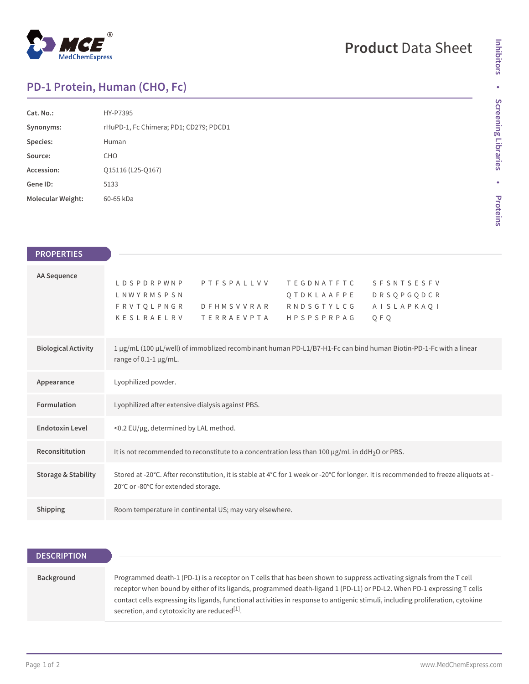

## **Product** Data Sheet

## **PD-1 Protein, Human (CHO, Fc)**

| Cat. No.:         | HY-P7395                               |
|-------------------|----------------------------------------|
| Synonyms:         | rHuPD-1, Fc Chimera; PD1; CD279; PDCD1 |
| Species:          | Human                                  |
| Source:           | CH <sub>O</sub>                        |
| Accession:        | 015116 (L25-0167)                      |
| Gene ID:          | 5133                                   |
| Molecular Weight: | 60-65 kDa                              |

| <b>PROPERTIES</b>              |                                                                                                                                                                                                                                 |
|--------------------------------|---------------------------------------------------------------------------------------------------------------------------------------------------------------------------------------------------------------------------------|
| <b>AA Sequence</b>             | PTFSPALLVV<br>LDSPDRPWNP<br><b>TEGDNATFTC</b><br><b>SFSNTSESFV</b><br><b>DRSQPGQDCR</b><br>LNWYRMSPSN<br>QTDKLAAFPE<br>DFHMSVVRAR RNDSGTYLCG<br>F R V T Q L P N G R<br>AISLAPKAQI<br>KESLRAELRV<br>TERRAEVPTA HPSPSPRPAG<br>QFQ |
| <b>Biological Activity</b>     | 1 µg/mL (100 µL/well) of immoblized recombinant human PD-L1/B7-H1-Fc can bind human Biotin-PD-1-Fc with a linear<br>range of $0.1-1$ µg/mL.                                                                                     |
| Appearance                     | Lyophilized powder.                                                                                                                                                                                                             |
| Formulation                    | Lyophilized after extensive dialysis against PBS.                                                                                                                                                                               |
| <b>Endotoxin Level</b>         | <0.2 EU/µg, determined by LAL method.                                                                                                                                                                                           |
| Reconsititution                | It is not recommended to reconstitute to a concentration less than 100 µg/mL in ddH <sub>2</sub> O or PBS.                                                                                                                      |
| <b>Storage &amp; Stability</b> | Stored at -20°C. After reconstitution, it is stable at 4°C for 1 week or -20°C for longer. It is recommended to freeze aliquots at -<br>20°C or -80°C for extended storage.                                                     |
| Shipping                       | Room temperature in continental US; may vary elsewhere.                                                                                                                                                                         |

| <b>DESCRIPTION</b> |                                                                                                                                                                                                                                                                                                                                                                                                                                                |
|--------------------|------------------------------------------------------------------------------------------------------------------------------------------------------------------------------------------------------------------------------------------------------------------------------------------------------------------------------------------------------------------------------------------------------------------------------------------------|
|                    |                                                                                                                                                                                                                                                                                                                                                                                                                                                |
| Background         | Programmed death-1 (PD-1) is a receptor on T cells that has been shown to suppress activating signals from the T cell<br>receptor when bound by either of its ligands, programmed death-ligand 1 (PD-L1) or PD-L2. When PD-1 expressing T cells<br>contact cells expressing its ligands, functional activities in response to antigenic stimuli, including proliferation, cytokine<br>secretion, and cytotoxicity are reduced <sup>[1]</sup> . |